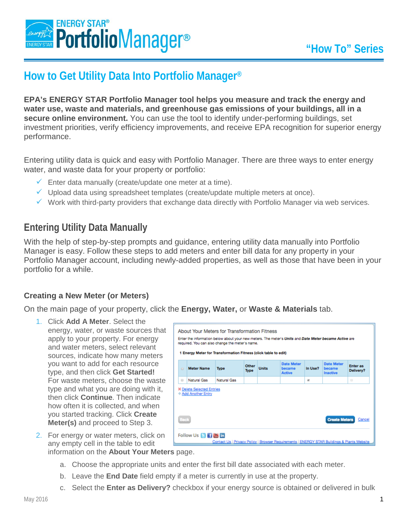

# **How to Get Utility Data Into Portfolio Manager®**

**EPA's ENERGY STAR Portfolio Manager tool helps you measure and track the energy and water use, waste and materials, and greenhouse gas emissions of your buildings, all in a secure online environment.** You can use the tool to identify under-performing buildings, set investment priorities, verify efficiency improvements, and receive EPA recognition for superior energy performance.

Entering utility data is quick and easy with Portfolio Manager. There are three ways to enter energy water, and waste data for your property or portfolio:

- $\checkmark$  Enter data manually (create/update one meter at a time).
- Upload data using spreadsheet templates (create/update multiple meters at once).
- $\checkmark$  Work with third-party providers that exchange data directly with Portfolio Manager via web services.

## **Entering Utility Data Manually**

With the help of step-by-step prompts and guidance, entering utility data manually into Portfolio Manager is easy. Follow these steps to add meters and enter bill data for any property in your Portfolio Manager account, including newly-added properties, as well as those that have been in your portfolio for a while.

#### **Creating a New Meter (or Meters)**

On the main page of your property, click the **Energy, Water,** or **Waste & Materials** tab.

1. Click **Add A Meter**. Select the energy, water, or waste sources that apply to your property. For energy and water meters, select relevant sources, indicate how many meters you want to add for each resource type, and then click **Get Started!** For waste meters, choose the waste type and what you are doing with it, then click **Continue**. Then indicate how often it is collected, and when you started tracking. Click **Create Meter(s)** and proceed to Step 3.

| About Your Meters for Transformation Fitness<br>Enter the information below about your new meters. The meter's Units and Date Meter became Active are<br>required. You can also change the meter's name.<br>1 Energy Meter for Transformation Fitness (click table to edit) |                   |             |               |              |                                              |         |                                         |                              |  |
|-----------------------------------------------------------------------------------------------------------------------------------------------------------------------------------------------------------------------------------------------------------------------------|-------------------|-------------|---------------|--------------|----------------------------------------------|---------|-----------------------------------------|------------------------------|--|
| $\Box$                                                                                                                                                                                                                                                                      | <b>Meter Name</b> | <b>Type</b> | Other<br>Type | <b>Units</b> | <b>Date Meter</b><br>became<br><b>Active</b> | In Use? | <b>Date Meter</b><br>became<br>Inactive | <b>Enter as</b><br>Delivery? |  |
| $\qquad \qquad \Box$                                                                                                                                                                                                                                                        | Natural Gas       | Natural Gas |               |              |                                              | W.      |                                         | $\Box$                       |  |
| <b>X</b> Delete Selected Entries<br>+ Add Another Entry                                                                                                                                                                                                                     |                   |             |               |              |                                              |         |                                         |                              |  |
| <b>Create Meters</b><br>Cancel<br>Follow Us B 图画 面<br>Contact Us   Privacy Policy   Browser Requirements   ENERGY STAR Buildings & Plants Website                                                                                                                           |                   |             |               |              |                                              |         |                                         |                              |  |

- 2. For energy or water meters, click on any empty cell in the table to edit information on the **About Your Meters** page.
	- a. Choose the appropriate units and enter the first bill date associated with each meter.
	- b. Leave the **End Date** field empty if a meter is currently in use at the property.
	- c. Select the **Enter as Delivery?** checkbox if your energy source is obtained or delivered in bulk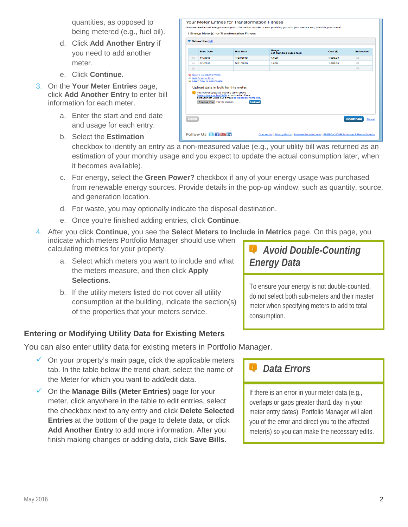quantities, as opposed to being metered (e.g., fuel oil).

- d. Click **Add Another Entry** if you need to add another meter.
- e. Click **Continue.**
- 3. On the **Your Meter Entries** page, click **Add Another Entry** to enter bill information for each meter.
	- a. Enter the start and end date and usage for each entry.
	- b. Select the **Estimation**

| W Natural Gas Edit                   |                                                                                                                           |                                                                                                                       |                                   |          |                                             |  |
|--------------------------------------|---------------------------------------------------------------------------------------------------------------------------|-----------------------------------------------------------------------------------------------------------------------|-----------------------------------|----------|---------------------------------------------|--|
|                                      | <b>Start Date</b>                                                                                                         | <b>End Date</b>                                                                                                       | Usage<br>ccf (hundred cubic feet) | Cost (S) | <b>Estimation</b>                           |  |
| $\qquad \qquad \qquad \qquad \qquad$ | 4/1/2013                                                                                                                  | 4/30/2013                                                                                                             | 1,000                             | 1.000.00 | $\qquad \qquad \qquad \qquad \qquad$        |  |
| $\Box$                               | 5/1/2013                                                                                                                  | 5/31/2013                                                                                                             | 1.000                             | 1.000.00 | $\qquad \qquad \qquad \qquad \qquad \qquad$ |  |
| 8                                    |                                                                                                                           |                                                                                                                       |                                   |          | $\Box$                                      |  |
|                                      | <b>3</b> Delete Selected Entries<br>- Add Another Entry<br>Learn how to copy/paste<br>Upload data in bulk for this meter: |                                                                                                                       |                                   |          |                                             |  |
|                                      | You can copy/paste into the table above<br>Choose File No file chosen                                                     | (instructions in this FAQ), or upload an Excel<br>spreadsheet using our simple spreadsheet template.<br><b>Upload</b> |                                   |          |                                             |  |

checkbox to identify an entry as a non-measured value (e.g., your utility bill was returned as an estimation of your monthly usage and you expect to update the actual consumption later, when it becomes available).

- c. For energy, select the **Green Power?** checkbox if any of your energy usage was purchased from renewable energy sources. Provide details in the pop-up window, such as quantity, source, and generation location.
- d. For waste, you may optionally indicate the disposal destination.
- e. Once you're finished adding entries, click **Continue**.
- 4. After you click **Continue**, you see the **Select Meters to Include in Metrics** page. On this page, you indicate which meters Portfolio Manager should use when calculating metrics for your property.
	- a. Select which meters you want to include and what the meters measure, and then click **Apply Selections.**
	- b. If the utility meters listed do not cover all utility consumption at the building, indicate the section(s) of the properties that your meters service.

### **Entering or Modifying Utility Data for Existing Meters**

You can also enter utility data for existing meters in Portfolio Manager.

- $\checkmark$  On your property's main page, click the applicable meters tab. In the table below the trend chart, select the name of the Meter for which you want to add/edit data.
- On the **Manage Bills (Meter Entries)** page for your meter, click anywhere in the table to edit entries, select the checkbox next to any entry and click **Delete Selected Entries** at the bottom of the page to delete data, or click **Add Another Entry** to add more information. After you finish making changes or adding data, click **Save Bills**.

*Avoid Double-Counting Energy Data*

To ensure your energy is not double-counted, do not select both sub-meters and their master meter when specifying meters to add to total consumption.

## *Data Errors*

If there is an error in your meter data (e.g., overlaps or gaps greater than1 day in your meter entry dates), Portfolio Manager will alert you of the error and direct you to the affected meter(s) so you can make the necessary edits.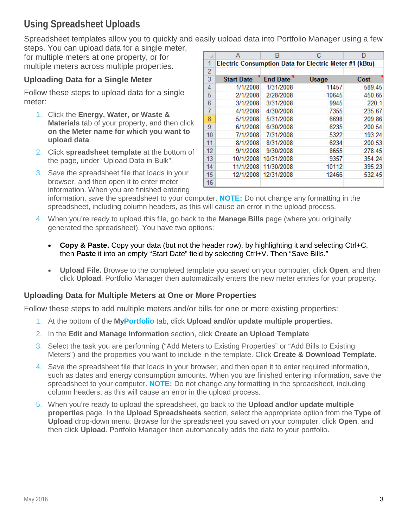# **Using Spreadsheet Uploads**

Spreadsheet templates allow you to quickly and easily upload data into Portfolio Manager using a few steps. You can upload data for a single meter,

for multiple meters at one property, or for multiple meters across multiple properties.

### **Uploading Data for a Single Meter**

Follow these steps to upload data for a single meter:

- 1. Click the **Energy, Water, or Waste & Materials** tab of your property, and then click **on the Meter name for which you want to upload data**.
- 2. Click **spreadsheet template** at the bottom of the page, under "Upload Data in Bulk".
- 3. Save the spreadsheet file that loads in your browser, and then open it to enter meter information. When you are finished entering

|    | А                 | R               | с                                                             | D      |
|----|-------------------|-----------------|---------------------------------------------------------------|--------|
| 1  |                   |                 | <b>Electric Consumption Data for Electric Meter #1 (kBtu)</b> |        |
| 2  |                   |                 |                                                               |        |
| 3  | <b>Start Date</b> | <b>End Date</b> | Usage                                                         | Cost   |
| 4  | 1/1/2008          | 1/31/2008       | 11457                                                         | 589.45 |
| 5  | 2/1/2008          | 2/28/2008       | 10645                                                         | 450.65 |
| 6  | 3/1/2008          | 3/31/2008       | 9945                                                          | 220.1  |
| 7  | 4/1/2008          | 4/30/2008       | 7355                                                          | 235.67 |
| 8  | 5/1/2008          | 5/31/2008       | 6698                                                          | 209.86 |
| 9  | 6/1/2008          | 6/30/2008       | 6235                                                          | 200.54 |
| 10 | 7/1/2008          | 7/31/2008       | 5322                                                          | 193.24 |
| 11 | 8/1/2008          | 8/31/2008       | 6234                                                          | 200.53 |
| 12 | 9/1/2008          | 9/30/2008       | 8655                                                          | 278.45 |
| 13 | 10/1/2008         | 10/31/2008      | 9357                                                          | 354.24 |
| 14 | 11/1/2008         | 11/30/2008      | 10112                                                         | 395.23 |
| 15 | 12/1/2008         | 12/31/2008      | 12466                                                         | 532.45 |
| 16 |                   |                 |                                                               |        |

information, save the spreadsheet to your computer. **NOTE:** Do not change any formatting in the spreadsheet, including column headers, as this will cause an error in the upload process.

- 4. When you're ready to upload this file, go back to the **Manage Bills** page (where you originally generated the spreadsheet). You have two options:
	- **Copy & Paste.** Copy your data (but not the header row), by highlighting it and selecting Ctrl+C, then **Paste** it into an empty "Start Date" field by selecting Ctrl+V. Then "Save Bills."
	- **Upload File.** Browse to the completed template you saved on your computer, click **Open**, and then click **Upload**. Portfolio Manager then automatically enters the new meter entries for your property.

#### **Uploading Data for Multiple Meters at One or More Properties**

Follow these steps to add multiple meters and/or bills for one or more existing properties:

- 1. At the bottom of the **MyPortfolio** tab, click **Upload and/or update multiple properties.**
- 2. In the **Edit and Manage Information** section, click **Create an Upload Template**
- 3. Select the task you are performing ("Add Meters to Existing Properties" or "Add Bills to Existing Meters") and the properties you want to include in the template. Click **Create & Download Template**.
- 4. Save the spreadsheet file that loads in your browser, and then open it to enter required information, such as dates and energy consumption amounts. When you are finished entering information, save the spreadsheet to your computer. **NOTE:** Do not change any formatting in the spreadsheet, including column headers, as this will cause an error in the upload process.
- 5. When you're ready to upload the spreadsheet, go back to the **Upload and/or update multiple properties** page. In the **Upload Spreadsheets** section, select the appropriate option from the **Type of Upload** drop-down menu. Browse for the spreadsheet you saved on your computer, click **Open**, and then click **Upload**. Portfolio Manager then automatically adds the data to your portfolio.